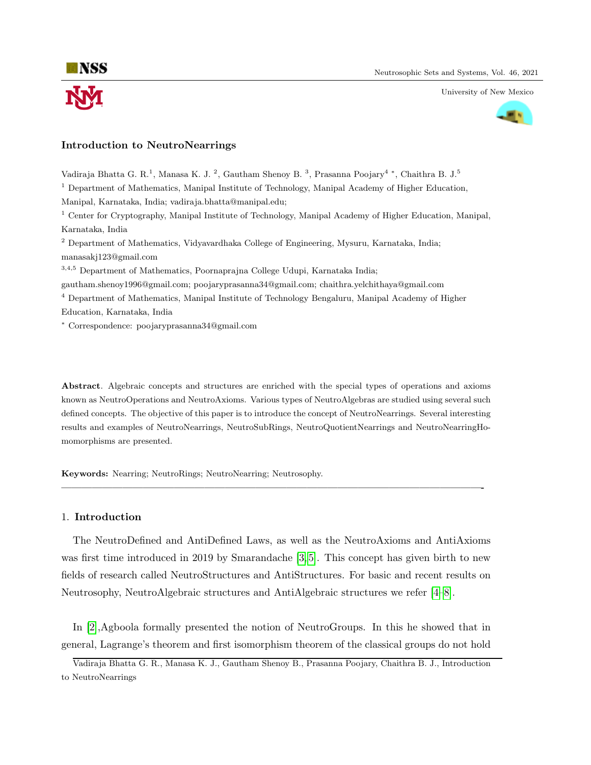

University of New Mexico



## Introduction to NeutroNearrings

Vadiraja Bhatta G. R.<sup>1</sup>, Manasa K. J.<sup>2</sup>, Gautham Shenoy B.<sup>3</sup>, Prasanna Poojary<sup>4</sup>\*, Chaithra B. J.<sup>5</sup> <sup>1</sup> Department of Mathematics, Manipal Institute of Technology, Manipal Academy of Higher Education, Manipal, Karnataka, India; vadiraja.bhatta@manipal.edu; <sup>1</sup> Center for Cryptography, Manipal Institute of Technology, Manipal Academy of Higher Education, Manipal, Karnataka, India <sup>2</sup> Department of Mathematics, Vidyavardhaka College of Engineering, Mysuru, Karnataka, India; manasakj123@gmail.com <sup>3</sup>,4,<sup>5</sup> Department of Mathematics, Poornaprajna College Udupi, Karnataka India; gautham.shenoy1996@gmail.com; poojaryprasanna34@gmail.com; chaithra.yelchithaya@gmail.com <sup>4</sup> Department of Mathematics, Manipal Institute of Technology Bengaluru, Manipal Academy of Higher Education, Karnataka, India <sup>∗</sup> Correspondence: poojaryprasanna34@gmail.com

Abstract. Algebraic concepts and structures are enriched with the special types of operations and axioms known as NeutroOperations and NeutroAxioms. Various types of NeutroAlgebras are studied using several such defined concepts. The objective of this paper is to introduce the concept of NeutroNearrings. Several interesting results and examples of NeutroNearrings, NeutroSubRings, NeutroQuotientNearrings and NeutroNearringHomomorphisms are presented.

—————————————————————————————————————————-

Keywords: Nearring; NeutroRings; NeutroNearring; Neutrosophy.

### 1. Introduction

The NeutroDefined and AntiDefined Laws, as well as the NeutroAxioms and AntiAxioms was first time introduced in 2019 by Smarandache [\[3,](#page-10-0)5]. This concept has given birth to new fields of research called NeutroStructures and AntiStructures. For basic and recent results on Neutrosophy, NeutroAlgebraic structures and AntiAlgebraic structures we refer [\[4–](#page-10-2)[8\]](#page-10-3).

In [\[2\]](#page-10-4),Agboola formally presented the notion of NeutroGroups. In this he showed that in general, Lagrange's theorem and first isomorphism theorem of the classical groups do not hold

Vadiraja Bhatta G. R., Manasa K. J., Gautham Shenoy B., Prasanna Poojary, Chaithra B. J., Introduction to NeutroNearrings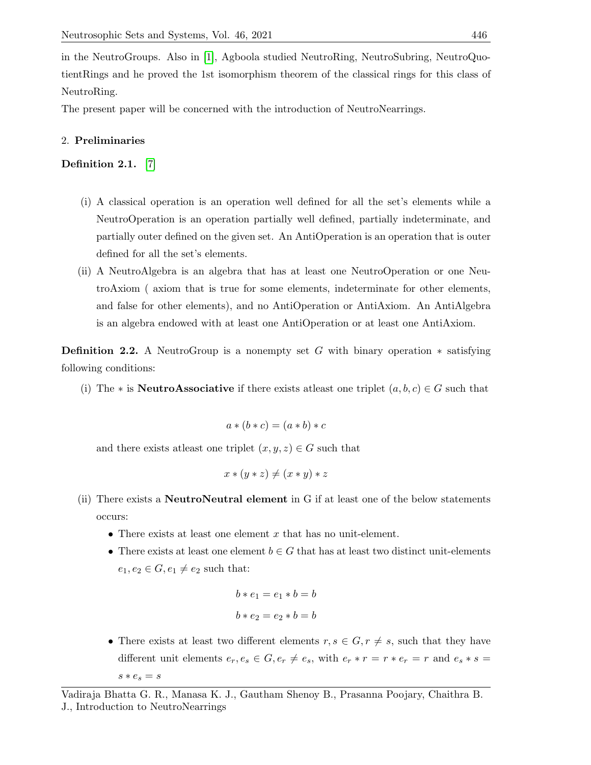in the NeutroGroups. Also in [\[1\]](#page-10-5), Agboola studied NeutroRing, NeutroSubring, NeutroQuotientRings and he proved the 1st isomorphism theorem of the classical rings for this class of NeutroRing.

The present paper will be concerned with the introduction of NeutroNearrings.

# 2. Preliminaries

Definition 2.1. [\[7\]](#page-10-6)

- (i) A classical operation is an operation well defined for all the set's elements while a NeutroOperation is an operation partially well defined, partially indeterminate, and partially outer defined on the given set. An AntiOperation is an operation that is outer defined for all the set's elements.
- (ii) A NeutroAlgebra is an algebra that has at least one NeutroOperation or one NeutroAxiom ( axiom that is true for some elements, indeterminate for other elements, and false for other elements), and no AntiOperation or AntiAxiom. An AntiAlgebra is an algebra endowed with at least one AntiOperation or at least one AntiAxiom.

**Definition 2.2.** A NeutroGroup is a nonempty set G with binary operation  $*$  satisfying following conditions:

(i) The \* is **NeutroAssociative** if there exists at least one triplet  $(a, b, c) \in G$  such that

$$
a * (b * c) = (a * b) * c
$$

and there exists at least one triplet  $(x, y, z) \in G$  such that

$$
x * (y * z) \neq (x * y) * z
$$

- (ii) There exists a NeutroNeutral element in G if at least one of the below statements occurs:
	- There exists at least one element  $x$  that has no unit-element.
	- There exists at least one element  $b \in G$  that has at least two distinct unit-elements  $e_1, e_2 \in G, e_1 \neq e_2$  such that:

```
b * e_1 = e_1 * b = bb * e_2 = e_2 * b = b
```
• There exists at least two different elements  $r, s \in G, r \neq s$ , such that they have different unit elements  $e_r, e_s \in G, e_r \neq e_s$ , with  $e_r * r = r * e_r = r$  and  $e_s * s =$  $s * e_s = s$ 

Vadiraja Bhatta G. R., Manasa K. J., Gautham Shenoy B., Prasanna Poojary, Chaithra B. J., Introduction to NeutroNearrings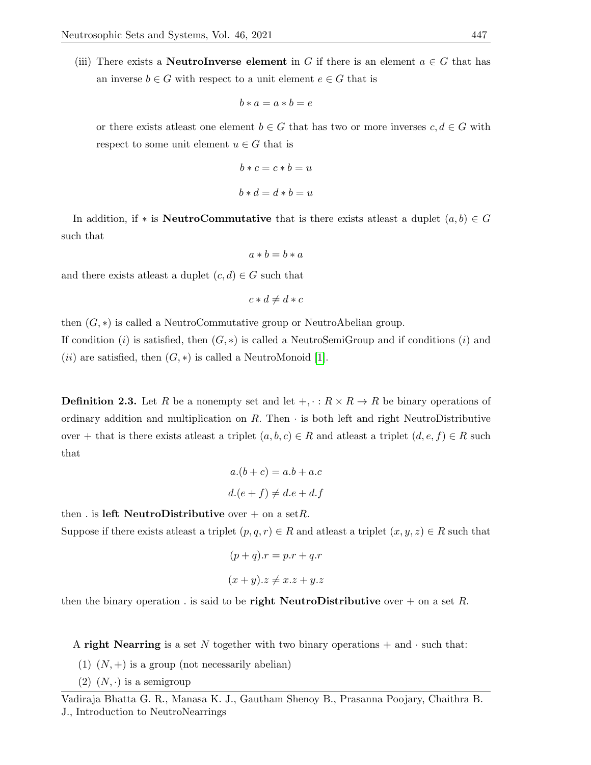(iii) There exists a **NeutroInverse element** in G if there is an element  $a \in G$  that has an inverse  $b \in G$  with respect to a unit element  $e \in G$  that is

$$
b * a = a * b = e
$$

or there exists at least one element  $b \in G$  that has two or more inverses  $c, d \in G$  with respect to some unit element  $u \in G$  that is

$$
b * c = c * b = u
$$
  

$$
b * d = d * b = u
$$

In addition, if \* is NeutroCommutative that is there exists at least a duplet  $(a, b) \in G$ such that

$$
a * b = b * a
$$

and there exists at least a duplet  $(c, d) \in G$  such that

$$
c * d \neq d * c
$$

then  $(G, *)$  is called a NeutroCommutative group or NeutroAbelian group.

If condition (i) is satisfied, then  $(G, *)$  is called a NeutroSemiGroup and if conditions (i) and  $(ii)$  are satisfied, then  $(G, *)$  is called a NeutroMonoid [\[1\]](#page-10-5).

**Definition 2.3.** Let R be a nonempty set and let  $+,\cdot:R\times R\rightarrow R$  be binary operations of ordinary addition and multiplication on  $R$ . Then  $\cdot$  is both left and right NeutroDistributive over + that is there exists at least a triplet  $(a, b, c) \in R$  and at least a triplet  $(d, e, f) \in R$  such that

$$
a.(b + c) = a.b + a.c
$$

$$
d.(e + f) \neq d.e + d.f
$$

then . is left NeutroDistributive over  $+$  on a set R. Suppose if there exists at least a triplet  $(p, q, r) \in R$  and at least a triplet  $(x, y, z) \in R$  such that

$$
(p+q)x = p.r + q.r
$$

$$
(x + y).z \neq x.z + y.z
$$

then the binary operation. is said to be right NeutroDistributive over  $+$  on a set R.

A right Nearring is a set N together with two binary operations  $+$  and  $\cdot$  such that:

- (1)  $(N,+)$  is a group (not necessarily abelian)
- (2)  $(N, \cdot)$  is a semigroup

Vadiraja Bhatta G. R., Manasa K. J., Gautham Shenoy B., Prasanna Poojary, Chaithra B. J., Introduction to NeutroNearrings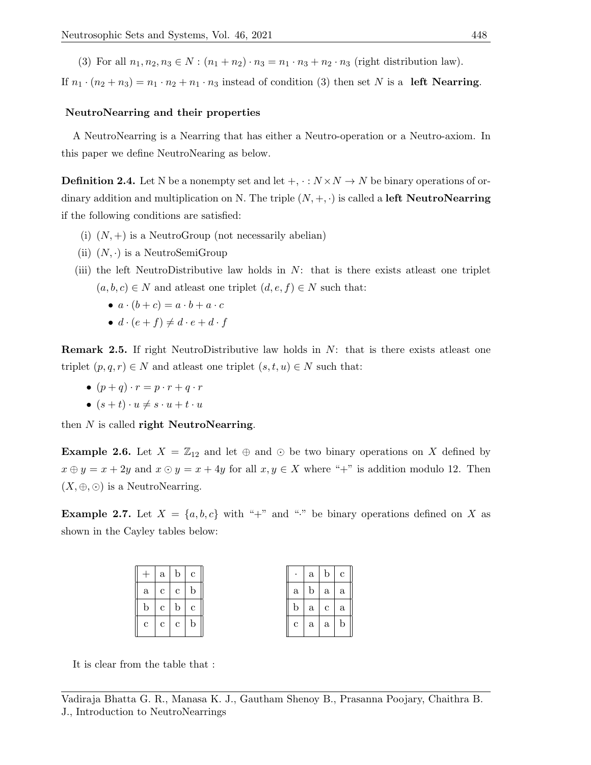(3) For all  $n_1, n_2, n_3 \in N : (n_1 + n_2) \cdot n_3 = n_1 \cdot n_3 + n_2 \cdot n_3$  (right distribution law).

If  $n_1 \cdot (n_2 + n_3) = n_1 \cdot n_2 + n_1 \cdot n_3$  instead of condition (3) then set N is a left Nearring.

### NeutroNearring and their properties

A NeutroNearring is a Nearring that has either a Neutro-operation or a Neutro-axiom. In this paper we define NeutroNearing as below.

**Definition 2.4.** Let N be a nonempty set and let  $+,\cdot:N\times N\rightarrow N$  be binary operations of ordinary addition and multiplication on N. The triple  $(N, +, \cdot)$  is called a **left NeutroNearring** if the following conditions are satisfied:

- (i)  $(N,+)$  is a NeutroGroup (not necessarily abelian)
- (ii)  $(N, \cdot)$  is a NeutroSemiGroup
- (iii) the left NeutroDistributive law holds in  $N$ : that is there exists at least one triplet  $(a, b, c) \in N$  and at least one triplet  $(d, e, f) \in N$  such that:
	- $a \cdot (b+c) = a \cdot b + a \cdot c$
	- $d \cdot (e + f) \neq d \cdot e + d \cdot f$

**Remark 2.5.** If right NeutroDistributive law holds in  $N$ : that is there exists at least one triplet  $(p, q, r) \in N$  and at least one triplet  $(s, t, u) \in N$  such that:

- $(p+q) \cdot r = p \cdot r + q \cdot r$
- $(s+t) \cdot u \neq s \cdot u + t \cdot u$

then  $N$  is called right NeutroNearring.

**Example 2.6.** Let  $X = \mathbb{Z}_{12}$  and let  $\oplus$  and  $\odot$  be two binary operations on X defined by  $x \oplus y = x + 2y$  and  $x \odot y = x + 4y$  for all  $x, y \in X$  where "+" is addition modulo 12. Then  $(X, \oplus, \odot)$  is a NeutroNearring.

**Example 2.7.** Let  $X = \{a, b, c\}$  with "+" and "." be binary operations defined on X as shown in the Cayley tables below:

 $\frac{a}{a}$ 

|              |                | $a \mid b \mid c$ |                     | $\bullet$   | $\mathbf{a}$ | $\mathbf{b}$                 | $\mathbf{c}$ |
|--------------|----------------|-------------------|---------------------|-------------|--------------|------------------------------|--------------|
| a            | $\mathbf{c}$   | $\mathbf{c}$      | <sub>b</sub>        | a           | $\mathbf b$  | $a \mid a$                   |              |
| $\mathbf{b}$ | $\mathbf{c}$   | $\mathbf{b}$      | $\lfloor c \rfloor$ | b.          | a            | $\mathbf{c} \mid \mathbf{a}$ |              |
| $\mathbf{c}$ | c <sub>1</sub> | $\mathbf{c}$      | <sub>b</sub>        | $\mathbf c$ | $\mathbf{a}$ | $\mathbf{a}$                 | $\mathbf b$  |
|              |                |                   |                     |             |              |                              |              |

It is clear from the table that :

Vadiraja Bhatta G. R., Manasa K. J., Gautham Shenoy B., Prasanna Poojary, Chaithra B. J., Introduction to NeutroNearrings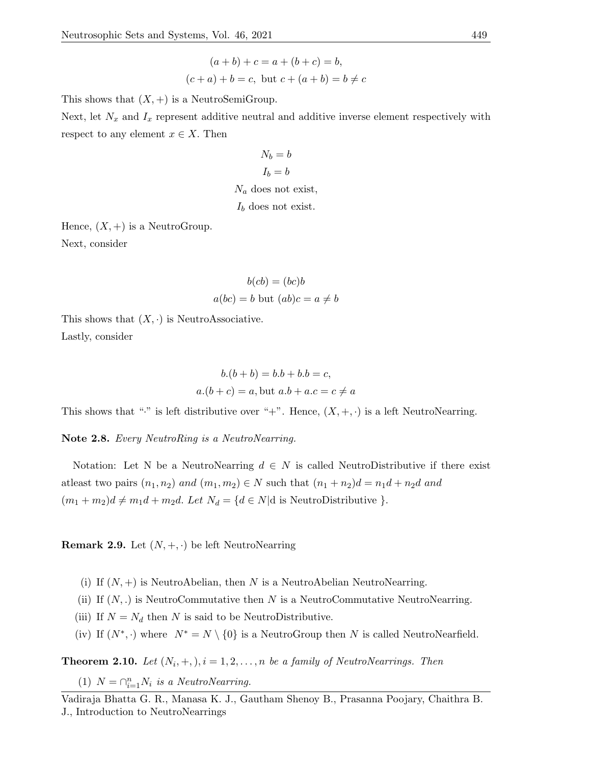$$
(a + b) + c = a + (b + c) = b,
$$
  

$$
(c + a) + b = c, \text{ but } c + (a + b) = b \neq c
$$

This shows that  $(X, +)$  is a NeutroSemiGroup.

Next, let  $N_x$  and  $I_x$  represent additive neutral and additive inverse element respectively with respect to any element  $x \in X$ . Then

$$
N_b = b
$$
  

$$
I_b = b
$$
  

$$
N_a \text{ does not exist,}
$$
  

$$
I_b \text{ does not exist.}
$$

Hence,  $(X,+)$  is a NeutroGroup. Next, consider

$$
b(cb) = (bc)b
$$

$$
a(bc) = b \text{ but } (ab)c = a \neq b
$$

This shows that  $(X, \cdot)$  is NeutroAssociative. Lastly, consider

$$
b.(b + b) = b.b + b.b = c,
$$
  

$$
a.(b + c) = a, \text{but } a.b + a.c = c \neq a
$$

This shows that "." is left distributive over "+". Hence,  $(X, +, \cdot)$  is a left NeutroNearring.

Note 2.8. Every NeutroRing is a NeutroNearring.

Notation: Let N be a NeutroNearring  $d \in N$  is called NeutroDistributive if there exist atleast two pairs  $(n_1, n_2)$  and  $(m_1, m_2) \in N$  such that  $(n_1 + n_2)d = n_1d + n_2d$  and  $(m_1 + m_2)d \neq m_1d + m_2d$ . Let  $N_d = \{d \in N | d$  is NeutroDistributive  $\}$ .

**Remark 2.9.** Let  $(N, +, \cdot)$  be left NeutroNearring

- (i) If  $(N, +)$  is NeutroAbelian, then N is a NeutroAbelian NeutroNearring.
- (ii) If  $(N,.)$  is NeutroCommutative then N is a NeutroCommutative NeutroNearring.
- (iii) If  $N = N_d$  then N is said to be NeutroDistributive.
- (iv) If  $(N^*, \cdot)$  where  $N^* = N \setminus \{0\}$  is a NeutroGroup then N is called NeutroNearfield.

<span id="page-4-0"></span>**Theorem 2.10.** Let  $(N_i, +, ), i = 1, 2, ..., n$  be a family of NeutroNearrings. Then

(1)  $N = \bigcap_{i=1}^{n} N_i$  is a NeutroNearring.

Vadiraja Bhatta G. R., Manasa K. J., Gautham Shenoy B., Prasanna Poojary, Chaithra B. J., Introduction to NeutroNearrings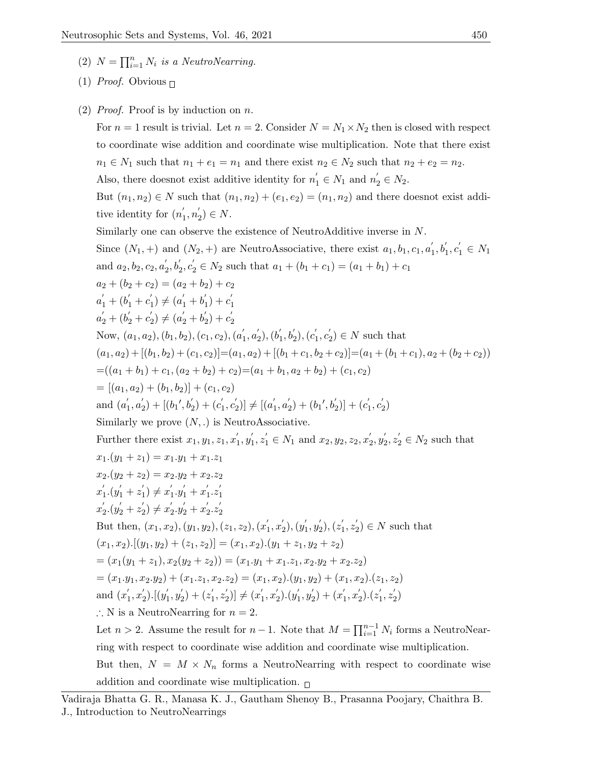- (2)  $N = \prod_{i=1}^{n} N_i$  is a NeutroNearring.
- (1) *Proof.* Obvious  $\Box$
- (2) *Proof.* Proof is by induction on  $n$ .

For  $n = 1$  result is trivial. Let  $n = 2$ . Consider  $N = N_1 \times N_2$  then is closed with respect to coordinate wise addition and coordinate wise multiplication. Note that there exist  $n_1 \in N_1$  such that  $n_1 + e_1 = n_1$  and there exist  $n_2 \in N_2$  such that  $n_2 + e_2 = n_2$ . Also, there does<br>not exist additive identity for  $n'_1 \in N_1$  and<br>  $n'_2 \in N_2$ .

But  $(n_1, n_2) \in N$  such that  $(n_1, n_2) + (e_1, e_2) = (n_1, n_2)$  and there doesnot exist additive identity for  $(n_1)$  $n'_{1}, n'_{2}$  $'_{2}) \in N.$ 

Similarly one can observe the existence of NeutroAdditive inverse in N.

Since  $(N_1, +)$  and  $(N_2, +)$  are NeutroAssociative, there exist  $a_1, b_1, c_1, a_1$  $b'_1, b'_1, c'_1 \in N_1$ and  $a_2, b_2, c_2, a_2'$  $a'_2, b'_2, c'_2 \in N_2$  such that  $a_1 + (b_1 + c_1) = (a_1 + b_1) + c_1$  $a_2 + (b_2 + c_2) = (a_2 + b_2) + c_2$  $a'_1 + (b'_1 + c'_1)$  $a'_1$   $\neq$   $(a'_1 + b'_1)$  $_1'$ ) +  $c_1'$ 1  $a'_2 + (b'_2 + c'_2)$  $a'_2$   $\neq$   $(a'_2 + b'_2)$  $c_2'$ ) +  $c_2'$ 2 Now,  $(a_1, a_2), (b_1, b_2), (c_1, c_2), (a_1, a_2)$  $\frac{1}{1}, a'_{2}$  $_2^\prime), (b_1^{\prime}$  $\mathbf{b}_{1}^{\prime},\mathbf{b}_{2}^{\prime}),(\mathbf{c}_{1}^{\prime}% ,\mathbf{c}_{2}^{\prime\prime})\in\mathbf{b}_{1}^{\prime},$  $c_1', c_2'$  $Z_2$ )  $\in$  N such that  $(a_1, a_2) + [(b_1, b_2) + (c_1, c_2)] = (a_1, a_2) + [(b_1 + c_1, b_2 + c_2)] = (a_1 + (b_1 + c_1), a_2 + (b_2 + c_2))$  $=( (a_1 + b_1) + c_1, (a_2 + b_2) + c_2) = (a_1 + b_1, a_2 + b_2) + (c_1, c_2)$  $= [(a_1, a_2) + (b_1, b_2)] + (c_1, c_2)$ and  $(a_1)$  $\frac{1}{1}, a'_{2}$  $a'_2$ ) + [(b<sub>1</sub>', b'<sub>2</sub>) + (c'<sub>1</sub>  $, c_2'$  $a'_2$ )]  $\neq$  [( $a'_1$  $\frac{1}{1}, a'_{2}$  $a'_2$ ) +  $(b'_11', b'_2)]$  +  $(c'_1)$  $c_1', c_2'$  $_{2}^{\prime})$ Similarly we prove  $(N,.)$  is NeutroAssociative. Further there exist  $x_1, y_1, z_1, x_1'$  $y'_1, y'_1$  $x'_1, z'_1 \in N_1$  and  $x_2, y_2, z_2, x'_2$  $y'_{2}, y'_{2}$  $z'_2, z'_2 \in N_2$  such that  $x_1.(y_1 + z_1) = x_1. y_1 + x_1. z_1$  $x_2.(y_2 + z_2) = x_2.y_2 + x_2.z_2$  $x_1'$  $y_1'.(y_1'+z_1')$  $x_1'$   $\neq x_1'$  $y'_1 \cdot y'_1 + x'_1$  $1 \cdot z_1'$ 1  $x'_2$  $y_2'.(y_2'+z_2')$  $x_2'$   $\neq x_2'$  $y_2', y_2' + x_2'$  $2.2^{'}$ 2 But then,  $(x_1, x_2), (y_1, y_2), (z_1, z_2), (x_1)$  $x'_{1}, x'_{2}$  $y_{1}^{\prime}$ <sub>2</sub>),  $(y_{1}^{\prime}% ,y_{2}^{\prime})$  $y'_{1}, y'_{2}$  $z_{2}^{'}), (z_{1}^{'}$  $x'_{1}, x'_{2}$  $\chi'_2$ )  $\in N$  such that  $(x_1, x_2).[(y_1, y_2) + (z_1, z_2)] = (x_1, x_2).(y_1 + z_1, y_2 + z_2)$  $=(x_1(y_1+z_1), x_2(y_2+z_2)) = (x_1.y_1+x_1.z_1, x_2.y_2+x_2.z_2)$  $=(x_1,y_1,x_2,y_2)+(x_1,z_1,x_2,z_2)=(x_1,x_2).(y_1,y_2)+(x_1,x_2).(z_1,z_2)$ and  $(x_1)$  $x'_{1}, x'_{2}$  $y_2'$ ).[ $(y_1'$  $y'_{1}, y'_{2}$  $z_{2}^{'}$ ) +  $(z_{1}^{'})$  $x'_{1}, x'_{2}$  $x_2')]\neq (x_1'$  $x'_{1}, x'_{2}$  $y_2'$ ). $(y_1'$  $y'_{1}, y'_{2}$  $x_2'$ ) +  $(x_1'$  $x'_{1}, x'_{2}$  $'_{2}$ ). $(z'_{1})$  $z'_{1}, z'_{2}$  $_{2}^{'})$ ∴ N is a NeutroNearring for  $n = 2$ . Let  $n > 2$ . Assume the result for  $n - 1$ . Note that  $M = \prod_{i=1}^{n-1} N_i$  forms a NeutroNearring with respect to coordinate wise addition and coordinate wise multiplication.

But then,  $N = M \times N_n$  forms a NeutroNearring with respect to coordinate wise addition and coordinate wise multiplication.  $\Box$ 

Vadiraja Bhatta G. R., Manasa K. J., Gautham Shenoy B., Prasanna Poojary, Chaithra B. J., Introduction to NeutroNearrings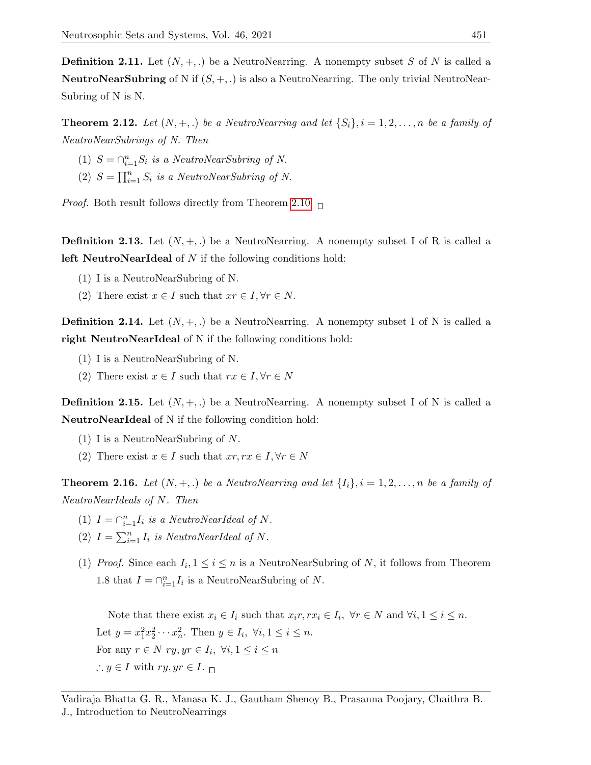**Definition 2.11.** Let  $(N, +, \cdot)$  be a NeutroNearring. A nonempty subset S of N is called a **NeutroNearSubring** of N if  $(S, +, .)$  is also a NeutroNearring. The only trivial NeutroNear-Subring of N is N.

**Theorem 2.12.** Let  $(N, +, \cdot)$  be a NeutroNearring and let  $\{S_i\}, i = 1, 2, \ldots, n$  be a family of NeutroNearSubrings of N. Then

- (1)  $S = \bigcap_{i=1}^n S_i$  is a NeutroNearSubring of N.
- (2)  $S = \prod_{i=1}^{n} S_i$  is a NeutroNearSubring of N.

*Proof.* Both result follows directly from Theorem [2.10.](#page-4-0)  $\Box$ 

**Definition 2.13.** Let  $(N, +, \cdot)$  be a NeutroNearring. A nonempty subset I of R is called a left NeutroNearIdeal of N if the following conditions hold:

- (1) I is a NeutroNearSubring of N.
- (2) There exist  $x \in I$  such that  $xr \in I, \forall r \in N$ .

**Definition 2.14.** Let  $(N, +, \cdot)$  be a NeutroNearring. A nonempty subset I of N is called a right NeutroNearIdeal of N if the following conditions hold:

- (1) I is a NeutroNearSubring of N.
- (2) There exist  $x \in I$  such that  $rx \in I, \forall r \in N$

**Definition 2.15.** Let  $(N, +, \cdot)$  be a NeutroNearring. A nonempty subset I of N is called a NeutroNearIdeal of N if the following condition hold:

- (1) I is a NeutroNearSubring of N.
- (2) There exist  $x \in I$  such that  $xr, rx \in I, \forall r \in N$

**Theorem 2.16.** Let  $(N, +, \cdot)$  be a NeutroNearring and let  $\{I_i\}$ ,  $i = 1, 2, \ldots, n$  be a family of NeutroNearIdeals of N. Then

- (1)  $I = \bigcap_{i=1}^{n} I_i$  is a NeutroNearIdeal of N.
- (2)  $I = \sum_{i=1}^{n} I_i$  is NeutroNearIdeal of N.
- (1) Proof. Since each  $I_i, 1 \leq i \leq n$  is a NeutroNearSubring of N, it follows from Theorem 1.8 that  $I = \bigcap_{i=1}^{n} I_i$  is a NeutroNearSubring of N.

Note that there exist  $x_i \in I_i$  such that  $x_i r, rx_i \in I_i$ ,  $\forall r \in N$  and  $\forall i, 1 \leq i \leq n$ . Let  $y = x_1^2 x_2^2 \cdots x_n^2$ . Then  $y \in I_i$ ,  $\forall i, 1 \le i \le n$ . For any  $r \in N$   $ry, yr \in I_i, \forall i, 1 \leq i \leq n$  $\therefore y \in I$  with  $ry, yr \in I$ .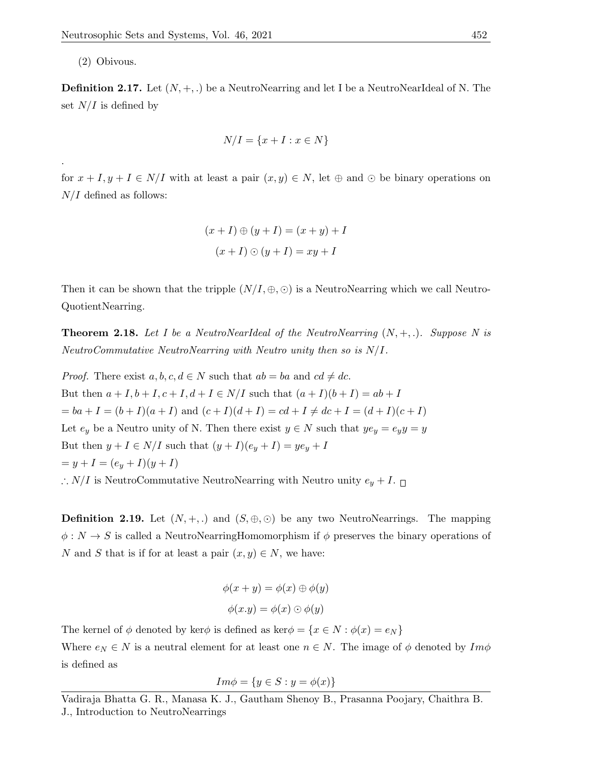(2) Obivous.

.

**Definition 2.17.** Let  $(N, +, \cdot)$  be a NeutroNearring and let I be a NeutroNearIdeal of N. The set  $N/I$  is defined by

$$
N/I = \{x + I : x \in N\}
$$

for  $x + I, y + I \in N/I$  with at least a pair  $(x, y) \in N$ , let  $\oplus$  and  $\odot$  be binary operations on  $N/I$  defined as follows:

$$
(x+I) \oplus (y+I) = (x+y) + I
$$

$$
(x+I) \odot (y+I) = xy + I
$$

Then it can be shown that the tripple  $(N/I, \oplus, \odot)$  is a NeutroNearring which we call Neutro-QuotientNearring.

**Theorem 2.18.** Let I be a NeutroNearIdeal of the NeutroNearring  $(N, +, \cdot)$ . Suppose N is NeutroCommutative NeutroNearring with Neutro unity then so is N/I.

*Proof.* There exist  $a, b, c, d \in N$  such that  $ab = ba$  and  $cd \neq dc$ . But then  $a + I, b + I, c + I, d + I \in N/I$  such that  $(a + I)(b + I) = ab + I$  $= ba + I = (b + I)(a + I)$  and  $(c + I)(d + I) = cd + I \neq dc + I = (d + I)(c + I)$ Let  $e_y$  be a Neutro unity of N. Then there exist  $y \in N$  such that  $ye_y = e_y y = y$ But then  $y + I \in N/I$  such that  $(y + I)(e_y + I) = ye_y + I$  $= y + I = (e_y + I)(y + I)$ ∴ N/I is NeutroCommutative NeutroNearring with Neutro unity  $e_y + I$ . □

**Definition 2.19.** Let  $(N, +, .)$  and  $(S, \oplus, \odot)$  be any two NeutroNearrings. The mapping  $\phi: N \to S$  is called a NeutroNearringHomomorphism if  $\phi$  preserves the binary operations of N and S that is if for at least a pair  $(x, y) \in N$ , we have:

$$
\phi(x + y) = \phi(x) \oplus \phi(y)
$$

$$
\phi(x.y) = \phi(x) \odot \phi(y)
$$

The kernel of  $\phi$  denoted by ker $\phi$  is defined as ker $\phi = \{x \in N : \phi(x) = e_N\}$ 

Where  $e_N \in N$  is a neutral element for at least one  $n \in N$ . The image of  $\phi$  denoted by  $Im \phi$ is defined as

$$
Im\phi = \{ y \in S : y = \phi(x) \}
$$

Vadiraja Bhatta G. R., Manasa K. J., Gautham Shenoy B., Prasanna Poojary, Chaithra B. J., Introduction to NeutroNearrings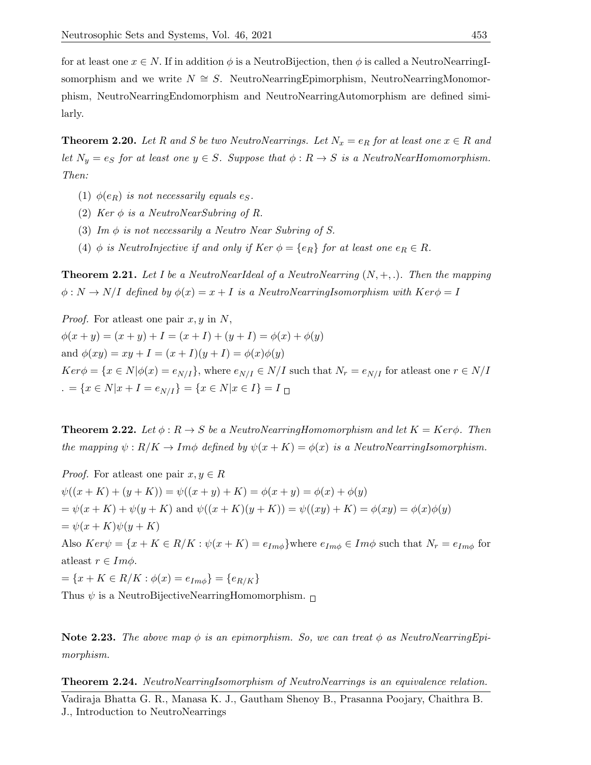for at least one  $x \in N$ . If in addition  $\phi$  is a NeutroBijection, then  $\phi$  is called a NeutroNearringIsomorphism and we write  $N \cong S$ . NeutroNearringEpimorphism, NeutroNearringMonomorphism, NeutroNearringEndomorphism and NeutroNearringAutomorphism are defined similarly.

**Theorem 2.20.** Let R and S be two NeutroNearrings. Let  $N_x = e_R$  for at least one  $x \in R$  and let  $N_y = e_S$  for at least one  $y \in S$ . Suppose that  $\phi : R \to S$  is a NeutroNearHomomorphism. Then:

- (1)  $\phi(e_R)$  is not necessarily equals e<sub>S</sub>.
- (2) Ker  $\phi$  is a NeutroNearSubring of R.
- (3) Im  $\phi$  is not necessarily a Neutro Near Subring of S.
- (4) φ is NeutroInjective if and only if Ker  $\phi = \{e_R\}$  for at least one  $e_R \in R$ .

**Theorem 2.21.** Let I be a NeutroNearIdeal of a NeutroNearring  $(N, +, \cdot)$ . Then the mapping  $\phi: N \to N/I$  defined by  $\phi(x) = x + I$  is a NeutroNearringIsomorphism with  $Ker\phi = I$ 

*Proof.* For atleast one pair  $x, y$  in N,  $\phi(x + y) = (x + y) + I = (x + I) + (y + I) = \phi(x) + \phi(y)$ and  $\phi(xy) = xy + I = (x + I)(y + I) = \phi(x)\phi(y)$  $Ker \phi = \{x \in N | \phi(x) = e_{N/I}\}\$ , where  $e_{N/I} \in N/I$  such that  $N_r = e_{N/I}$  for atleast one  $r \in N/I$ . =  $\{x \in N | x + I = e_{N/I}\} = \{x \in N | x \in I\} = I$ 

**Theorem 2.22.** Let  $\phi: R \to S$  be a NeutroNearringHomomorphism and let  $K = Ker\phi$ . Then the mapping  $\psi : R/K \to Im\phi$  defined by  $\psi(x+K) = \phi(x)$  is a NeutroNearringIsomorphism.

*Proof.* For atleast one pair  $x, y \in R$  $\psi((x+K)+(y+K)) = \psi((x+y)+K) = \phi(x+y) = \phi(x) + \phi(y)$  $=\psi(x+K) + \psi(y+K)$  and  $\psi((x+K)(y+K)) = \psi((xy) + K) = \phi(xy) = \phi(x)\phi(y)$  $=\psi(x+K)\psi(y+K)$ Also  $Ker\psi = \{x + K \in R/K : \psi(x + K) = e_{Im\phi}\}\$ where  $e_{Im\phi} \in Im\phi$  such that  $N_r = e_{Im\phi}$  for atleast  $r \in Im \phi$ .  $=\{x+K\in R/K: \phi(x)=e_{Im\phi}\}=\{e_{R/K}\}$ Thus  $\psi$  is a NeutroBijectiveNearringHomomorphism.  $\Box$ 

Note 2.23. The above map  $\phi$  is an epimorphism. So, we can treat  $\phi$  as NeutroNearringEpimorphism.

Theorem 2.24. NeutroNearringIsomorphism of NeutroNearrings is an equivalence relation.

Vadiraja Bhatta G. R., Manasa K. J., Gautham Shenoy B., Prasanna Poojary, Chaithra B. J., Introduction to NeutroNearrings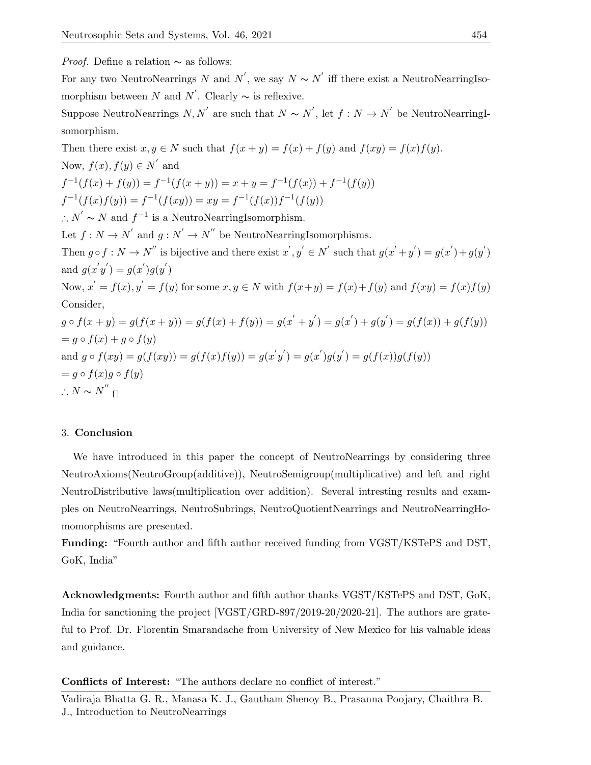Proof. Define a relation ∼ as follows:

For any two NeutroNearrings N and  $N'$ , we say  $N \sim N'$  iff there exist a NeutroNearringIsomorphism between N and N'. Clearly  $\sim$  is reflexive.

Suppose NeutroNearrings  $N, N'$  are such that  $N \sim N'$ , let  $f : N \to N'$  be NeutroNearringIsomorphism.

Then there exist  $x, y \in N$  such that  $f(x + y) = f(x) + f(y)$  and  $f(xy) = f(x)f(y)$ . Now,  $f(x)$ ,  $f(y) \in N'$  and  $f^{-1}(f(x) + f(y)) = f^{-1}(f(x + y)) = x + y = f^{-1}(f(x)) + f^{-1}(f(y))$  $f^{-1}(f(x)f(y)) = f^{-1}(f(xy)) = xy = f^{-1}(f(x))f^{-1}(f(y))$ ∴  $N' \sim N$  and  $f^{-1}$  is a NeutroNearringIsomorphism. Let  $f: N \to N'$  and  $g: N' \to N''$  be NeutroNearringIsomorphisms. Then  $g \circ f : N \to N''$  is bijective and there exist  $x', y' \in N'$  such that  $g(x'+y') = g(x') + g(y')$ and  $g(x'y') = g(x')g(y')$ Now,  $x' = f(x)$ ,  $y' = f(y)$  for some  $x, y \in N$  with  $f(x+y) = f(x)+f(y)$  and  $f(xy) = f(x)f(y)$ Consider,  $g \circ f(x+y) = g(f(x+y)) = g(f(x) + f(y)) = g(x'+y') = g(x') + g(y') = g(f(x)) + g(f(y))$  $= q \circ f(x) + q \circ f(y)$ and  $g \circ f(xy) = g(f(xy)) = g(f(x)f(y)) = g(x'y') = g(x')g(y') = g(f(x))g(f(y))$  $= q \circ f(x)q \circ f(y)$  $\therefore N \sim N^{''}$ 

#### 3. Conclusion

We have introduced in this paper the concept of NeutroNearrings by considering three NeutroAxioms(NeutroGroup(additive)), NeutroSemigroup(multiplicative) and left and right NeutroDistributive laws(multiplication over addition). Several intresting results and examples on NeutroNearrings, NeutroSubrings, NeutroQuotientNearrings and NeutroNearringHomomorphisms are presented.

Funding: "Fourth author and fifth author received funding from VGST/KSTePS and DST, GoK, India"

Acknowledgments: Fourth author and fifth author thanks VGST/KSTePS and DST, GoK, India for sanctioning the project [VGST/GRD-897/2019-20/2020-21]. The authors are grateful to Prof. Dr. Florentin Smarandache from University of New Mexico for his valuable ideas and guidance.

Conflicts of Interest: "The authors declare no conflict of interest."

Vadiraja Bhatta G. R., Manasa K. J., Gautham Shenoy B., Prasanna Poojary, Chaithra B. J., Introduction to NeutroNearrings